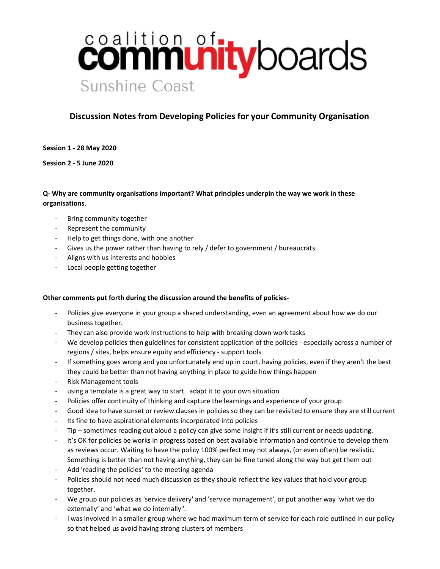# **connmunity**boards **Sunshine Coast**

# Discussion Notes from Developing Policies for your Community Organisation

Session 1 - 28 May 2020

Session 2 - 5 June 2020

# Q- Why are community organisations important? What principles underpin the way we work in these organisations.

- Bring community together
- Represent the community
- Help to get things done, with one another
- Gives us the power rather than having to rely / defer to government / bureaucrats
- Aligns with us interests and hobbies
- Local people getting together

#### Other comments put forth during the discussion around the benefits of policies-

- Policies give everyone in your group a shared understanding, even an agreement about how we do our business together.
- They can also provide work Instructions to help with breaking down work tasks
- We develop policies then guidelines for consistent application of the policies especially across a number of regions / sites, helps ensure equity and efficiency - support tools
- If something goes wrong and you unfortunately end up in court, having policies, even if they aren't the best they could be better than not having anything in place to guide how things happen
- Risk Management tools
- using a template is a great way to start. adapt it to your own situation
- Policies offer continuity of thinking and capture the learnings and experience of your group
- Good idea to have sunset or review clauses in policies so they can be revisited to ensure they are still current
- Its fine to have aspirational elements incorporated into policies
- Tip sometimes reading out aloud a policy can give some insight if it's still current or needs updating.
- It's OK for policies be works in progress based on best available information and continue to develop them as reviews occur. Waiting to have the policy 100% perfect may not always, (or even often) be realistic. Something is better than not having anything, they can be fine tuned along the way but get them out
- Add 'reading the policies' to the meeting agenda
- Policies should not need much discussion as they should reflect the key values that hold your group together.
- We group our policies as 'service delivery' and 'service management', or put another way 'what we do externally' and 'what we do internally".
- I was involved in a smaller group where we had maximum term of service for each role outlined in our policy so that helped us avoid having strong clusters of members